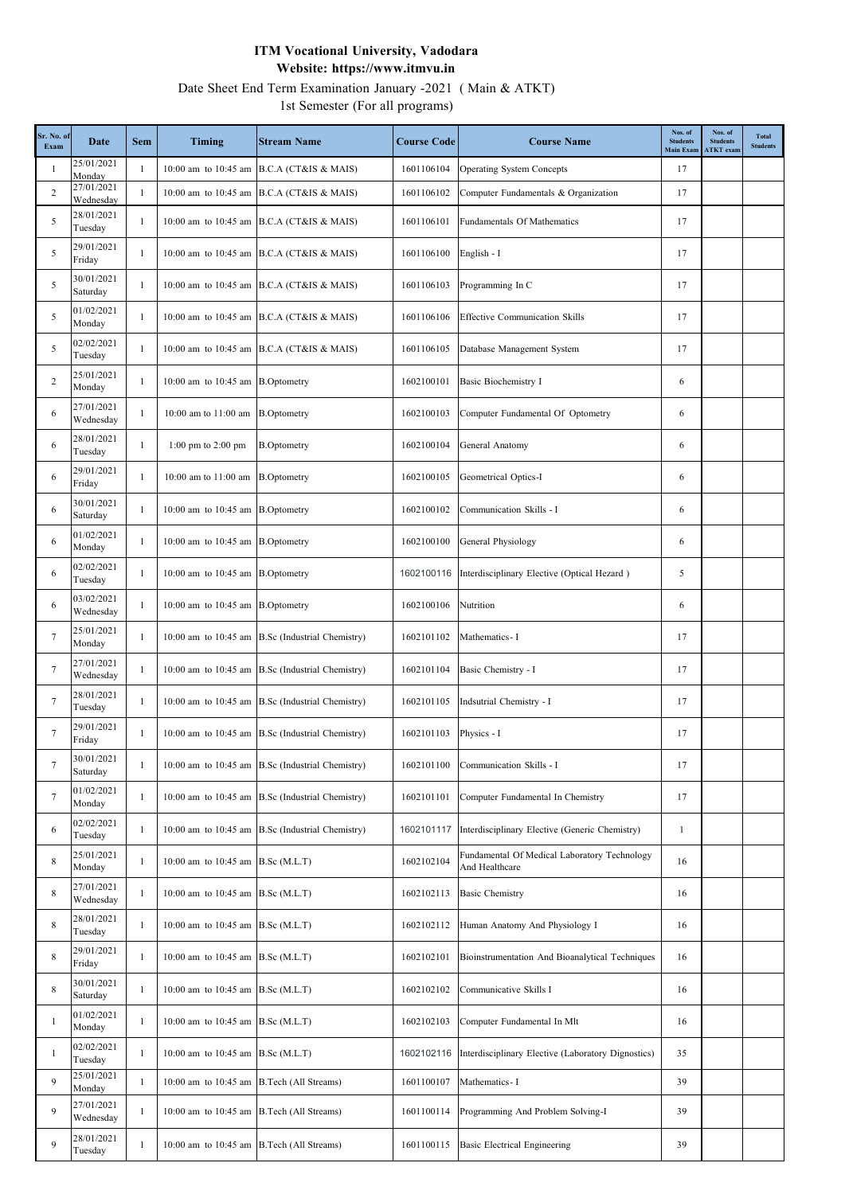Date Sheet End Term Examination January -2021 ( Main & ATKT)

1st Semester (For all programs)

| Sr. No. of<br>Exam | Date                    | <b>Sem</b>   | <b>Timing</b>                             | <b>Stream Name</b>                               | <b>Course Code</b> | <b>Course Name</b>                                             | Nos. of<br><b>Students</b><br><b>Main Exam</b> | Nos. of<br><b>Students</b><br><b>ATKT</b> exam | <b>Total</b><br><b>Students</b> |
|--------------------|-------------------------|--------------|-------------------------------------------|--------------------------------------------------|--------------------|----------------------------------------------------------------|------------------------------------------------|------------------------------------------------|---------------------------------|
| -1                 | 25/01/2021<br>Monday    | $\mathbf{1}$ |                                           | 10:00 am to 10:45 am B.C.A (CT&IS & MAIS)        | 1601106104         | <b>Operating System Concepts</b>                               | 17                                             |                                                |                                 |
| 2                  | 27/01/2021<br>Wednesday | $\mathbf{1}$ |                                           | 10:00 am to 10:45 am B.C.A (CT&IS & MAIS)        | 1601106102         | Computer Fundamentals & Organization                           | 17                                             |                                                |                                 |
| 5                  | 28/01/2021<br>Tuesday   | $\mathbf{1}$ |                                           | 10:00 am to 10:45 am B.C.A (CT&IS & MAIS)        | 1601106101         | Fundamentals Of Mathematics                                    | 17                                             |                                                |                                 |
| 5                  | 29/01/2021<br>Friday    | 1            |                                           | 10:00 am to 10:45 am B.C.A (CT&IS & MAIS)        | 1601106100         | English - I                                                    | 17                                             |                                                |                                 |
| 5                  | 30/01/2021<br>Saturday  | 1            |                                           | 10:00 am to 10:45 am B.C.A (CT&IS & MAIS)        | 1601106103         | Programming In C                                               | 17                                             |                                                |                                 |
| 5                  | 01/02/2021<br>Monday    | $\mathbf{1}$ |                                           | 10:00 am to 10:45 am B.C.A (CT&IS & MAIS)        | 1601106106         | <b>Effective Communication Skills</b>                          | 17                                             |                                                |                                 |
| 5                  | 02/02/2021<br>Tuesday   | 1            |                                           | 10:00 am to 10:45 am B.C.A (CT&IS & MAIS)        | 1601106105         | Database Management System                                     | 17                                             |                                                |                                 |
| $\overline{2}$     | 25/01/2021<br>Monday    | 1            | 10:00 am to 10:45 am B.Optometry          |                                                  | 1602100101         | Basic Biochemistry I                                           | 6                                              |                                                |                                 |
| 6                  | 27/01/2021<br>Wednesday | $\mathbf{1}$ | 10:00 am to 11:00 am B.Optometry          |                                                  | 1602100103         | Computer Fundamental Of Optometry                              | 6                                              |                                                |                                 |
| 6                  | 28/01/2021<br>Tuesday   | 1            | 1:00 pm to 2:00 pm                        | <b>B.Optometry</b>                               | 1602100104         | General Anatomy                                                | 6                                              |                                                |                                 |
| 6                  | 29/01/2021<br>Friday    | $\mathbf{1}$ | 10:00 am to 11:00 am B.Optometry          |                                                  | 1602100105         | Geometrical Optics-I                                           | 6                                              |                                                |                                 |
| 6                  | 30/01/2021<br>Saturday  | 1            | 10:00 am to 10:45 am B.Optometry          |                                                  | 1602100102         | Communication Skills - I                                       | 6                                              |                                                |                                 |
| 6                  | 01/02/2021<br>Monday    | 1            | 10:00 am to 10:45 am B.Optometry          |                                                  | 1602100100         | <b>General Physiology</b>                                      | 6                                              |                                                |                                 |
| 6                  | 02/02/2021<br>Tuesday   | 1            | 10:00 am to 10:45 am B.Optometry          |                                                  | 1602100116         | Interdisciplinary Elective (Optical Hezard)                    | 5                                              |                                                |                                 |
| 6                  | 03/02/2021<br>Wednesday | 1            | 10:00 am to 10:45 am B.Optometry          |                                                  | 1602100106         | Nutrition                                                      | 6                                              |                                                |                                 |
| 7                  | 25/01/2021<br>Monday    | 1            |                                           | 10:00 am to 10:45 am B.Sc (Industrial Chemistry) | 1602101102         | Mathematics - I                                                | 17                                             |                                                |                                 |
| 7                  | 27/01/2021<br>Wednesday | 1            |                                           | 10:00 am to 10:45 am B.Sc (Industrial Chemistry) | 1602101104         | Basic Chemistry - I                                            | 17                                             |                                                |                                 |
| 7                  | 28/01/2021<br>Tuesday   | 1            |                                           | 10:00 am to 10:45 am B.Sc (Industrial Chemistry) | 1602101105         | Indsutrial Chemistry - I                                       | 17                                             |                                                |                                 |
| 7                  | 29/01/2021<br>Friday    | 1            |                                           | 10:00 am to 10:45 am B.Sc (Industrial Chemistry) | 1602101103         | Physics - I                                                    | 17                                             |                                                |                                 |
|                    | 30/01/2021<br>Saturday  |              |                                           | 10:00 am to 10:45 am B.Sc (Industrial Chemistry) | 1602101100         | Communication Skills - I                                       | 17                                             |                                                |                                 |
| 7                  | 01/02/2021<br>Monday    | $\mathbf{1}$ |                                           | 10:00 am to 10:45 am B.Sc (Industrial Chemistry) | 1602101101         | Computer Fundamental In Chemistry                              | 17                                             |                                                |                                 |
| 6                  | 02/02/2021<br>Tuesday   | 1            |                                           | 10:00 am to 10:45 am B.Sc (Industrial Chemistry) | 1602101117         | Interdisciplinary Elective (Generic Chemistry)                 | $\mathbf{1}$                                   |                                                |                                 |
| 8                  | 25/01/2021<br>Monday    | $\mathbf{1}$ | 10:00 am to 10:45 am B.Sc (M.L.T)         |                                                  | 1602102104         | Fundamental Of Medical Laboratory Technology<br>And Healthcare | 16                                             |                                                |                                 |
| 8                  | 27/01/2021<br>Wednesday | $\mathbf{1}$ | 10:00 am to 10:45 am B.Sc (M.L.T)         |                                                  | 1602102113         | <b>Basic Chemistry</b>                                         | 16                                             |                                                |                                 |
| 8                  | 28/01/2021<br>Tuesday   | $\mathbf{1}$ | 10:00 am to 10:45 am B.Sc (M.L.T)         |                                                  | 1602102112         | Human Anatomy And Physiology I                                 | 16                                             |                                                |                                 |
| 8                  | 29/01/2021<br>Friday    | 1            | 10:00 am to 10:45 am B.Sc (M.L.T)         |                                                  | 1602102101         | Bioinstrumentation And Bioanalytical Techniques                | 16                                             |                                                |                                 |
| $\,$ 8 $\,$        | 30/01/2021<br>Saturday  | $\mathbf{1}$ | 10:00 am to 10:45 am B.Sc (M.L.T)         |                                                  | 1602102102         | Communicative Skills I                                         | 16                                             |                                                |                                 |
| -1                 | 01/02/2021<br>Monday    | $\mathbf{1}$ | 10:00 am to 10:45 am B.Sc (M.L.T)         |                                                  | 1602102103         | Computer Fundamental In Mlt                                    | 16                                             |                                                |                                 |
| -1                 | 02/02/2021<br>Tuesday   | $\mathbf{1}$ | 10:00 am to 10:45 am B.Sc (M.L.T)         |                                                  | 1602102116         | Interdisciplinary Elective (Laboratory Dignostics)             | 35                                             |                                                |                                 |
| 9                  | 25/01/2021<br>Monday    | $\mathbf{1}$ | 10:00 am to 10:45 am B.Tech (All Streams) |                                                  | 1601100107         | Mathematics - I                                                | 39                                             |                                                |                                 |
| 9                  | 27/01/2021<br>Wednesday | 1            | 10:00 am to 10:45 am B.Tech (All Streams) |                                                  | 1601100114         | Programming And Problem Solving-I                              | 39                                             |                                                |                                 |
| 9                  | 28/01/2021<br>Tuesday   |              | 10:00 am to 10:45 am B.Tech (All Streams) |                                                  | 1601100115         | Basic Electrical Engineering                                   | 39                                             |                                                |                                 |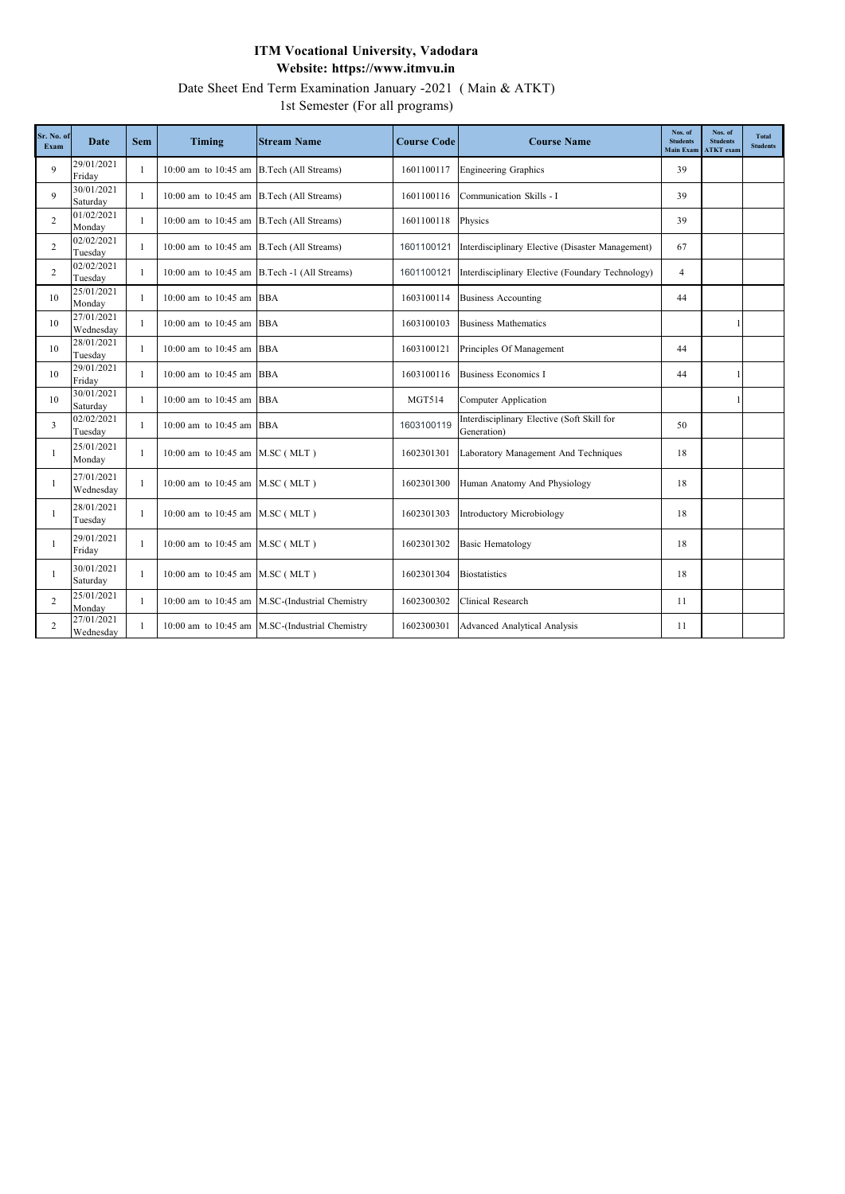Date Sheet End Term Examination January -2021 ( Main & ATKT)

1st Semester (For all programs)

| Sr. No. of<br>Exam | <b>Date</b>             | <b>Sem</b>   | Timing                                    | <b>Stream Name</b>                              | <b>Course Code</b> | <b>Course Name</b>                                        | Nos. of<br><b>Students</b><br><b>Main Exam</b> | Nos. of<br><b>Students</b><br><b>ATKT</b> exam | <b>Total</b><br><b>Students</b> |
|--------------------|-------------------------|--------------|-------------------------------------------|-------------------------------------------------|--------------------|-----------------------------------------------------------|------------------------------------------------|------------------------------------------------|---------------------------------|
| 9                  | 29/01/2021<br>Friday    | 1            | 10:00 am to 10:45 am B.Tech (All Streams) |                                                 | 1601100117         | <b>Engineering Graphics</b>                               | 39                                             |                                                |                                 |
| 9                  | 30/01/2021<br>Saturday  | 1            | 10:00 am to 10:45 am B.Tech (All Streams) |                                                 | 1601100116         | Communication Skills - I                                  | 39                                             |                                                |                                 |
| 2                  | 01/02/2021<br>Monday    | $\mathbf{1}$ | 10:00 am to 10:45 am B.Tech (All Streams) |                                                 | 1601100118         | Physics                                                   | 39                                             |                                                |                                 |
| 2                  | 02/02/2021<br>Tuesday   | $\mathbf{1}$ | 10:00 am to 10:45 am B.Tech (All Streams) |                                                 | 1601100121         | Interdisciplinary Elective (Disaster Management)          | 67                                             |                                                |                                 |
| $\overline{c}$     | 02/02/2021<br>Tuesday   | -1           |                                           | 10:00 am to 10:45 am $B.Tech -1$ (All Streams)  | 1601100121         | Interdisciplinary Elective (Foundary Technology)          | $\overline{4}$                                 |                                                |                                 |
| 10                 | 25/01/2021<br>Monday    | $\mathbf{1}$ | 10:00 am to 10:45 am BBA                  |                                                 | 1603100114         | <b>Business Accounting</b>                                | 44                                             |                                                |                                 |
| 10                 | 27/01/2021<br>Wednesday | $\mathbf{1}$ | 10:00 am to 10:45 am BBA                  |                                                 | 1603100103         | <b>Business Mathematics</b>                               |                                                |                                                |                                 |
| 10                 | 28/01/2021<br>Tuesday   | -1           | 10:00 am to 10:45 am BBA                  |                                                 | 1603100121         | Principles Of Management                                  | 44                                             |                                                |                                 |
| 10                 | 29/01/2021<br>Friday    | $\mathbf{1}$ | 10:00 am to 10:45 am BBA                  |                                                 | 1603100116         | <b>Business Economics I</b>                               | 44                                             |                                                |                                 |
| 10                 | 30/01/2021<br>Saturday  | $\mathbf{1}$ | 10:00 am to 10:45 am BBA                  |                                                 | <b>MGT514</b>      | Computer Application                                      |                                                |                                                |                                 |
| 3                  | 02/02/2021<br>Tuesday   | -1           | 10:00 am to 10:45 am BBA                  |                                                 | 1603100119         | Interdisciplinary Elective (Soft Skill for<br>Generation) | 50                                             |                                                |                                 |
| -1                 | 25/01/2021<br>Monday    | 1            | 10:00 am to 10:45 am M.SC (MLT)           |                                                 | 1602301301         | Laboratory Management And Techniques                      | 18                                             |                                                |                                 |
| -1                 | 27/01/2021<br>Wednesday | 1            | 10:00 am to 10:45 am M.SC (MLT)           |                                                 | 1602301300         | Human Anatomy And Physiology                              | 18                                             |                                                |                                 |
|                    | 28/01/2021<br>Tuesday   | 1            | 10:00 am to 10:45 am M.SC (MLT)           |                                                 | 1602301303         | Introductory Microbiology                                 | 18                                             |                                                |                                 |
|                    | 29/01/2021<br>Friday    | $\mathbf{1}$ | 10:00 am to 10:45 am M.SC (MLT)           |                                                 | 1602301302         | <b>Basic Hematology</b>                                   | 18                                             |                                                |                                 |
|                    | 30/01/2021<br>Saturday  | 1            | 10:00 am to 10:45 am M.SC (MLT)           |                                                 | 1602301304         | <b>Biostatistics</b>                                      | 18                                             |                                                |                                 |
| $\overline{2}$     | 25/01/2021<br>Monday    | $\mathbf{1}$ |                                           | 10:00 am to 10:45 am M.SC-(Industrial Chemistry | 1602300302         | Clinical Research                                         | 11                                             |                                                |                                 |
| $\overline{c}$     | 27/01/2021<br>Wednesday | -1           |                                           | 10:00 am to 10:45 am M.SC-(Industrial Chemistry | 1602300301         | Advanced Analytical Analysis                              | 11                                             |                                                |                                 |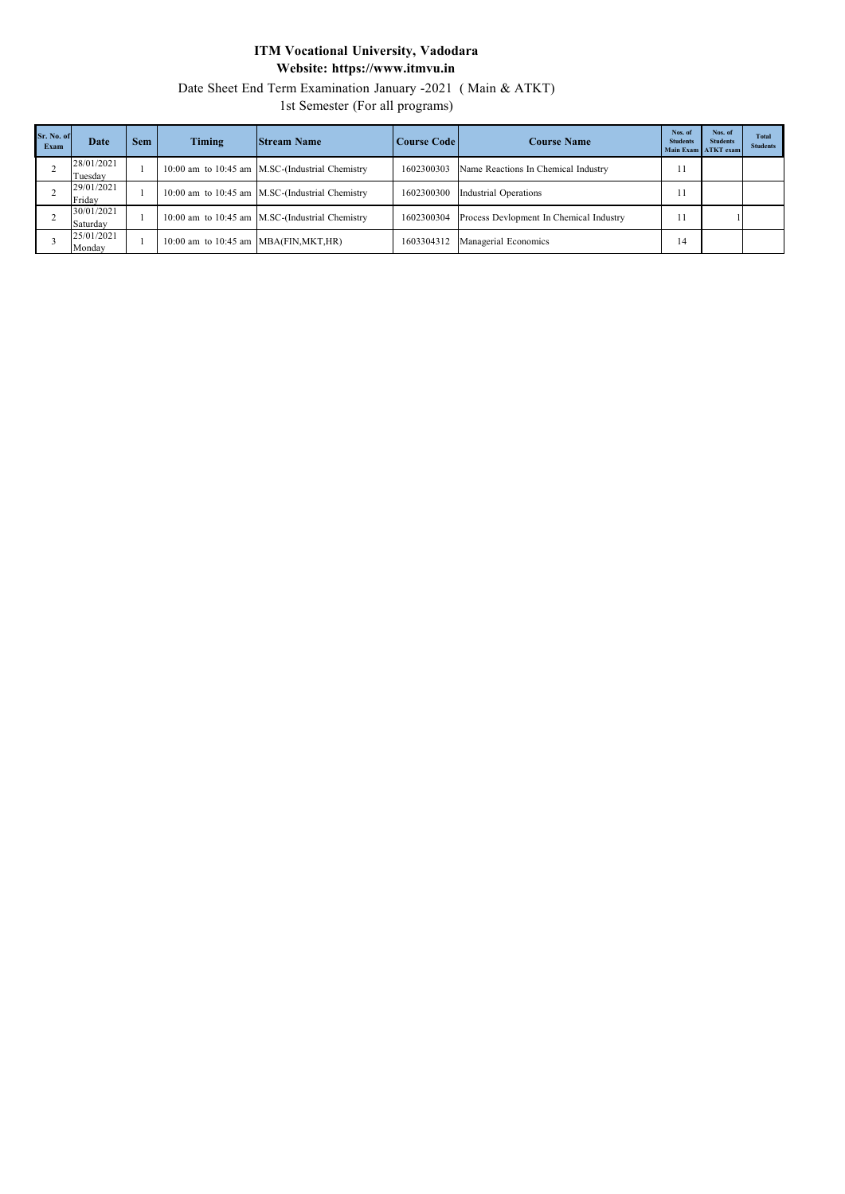Date Sheet End Term Examination January -2021 ( Main & ATKT)

1st Semester (For all programs)

| Sr. No. of<br>Exam | Date                   | Sem | Timing                                     | <b>Stream Name</b>                              | Course Code | <b>Course Name</b>                      | Nos. of<br><b>Students</b> | Nos. of<br><b>Students</b><br>Main Exam ATKT exam | <b>Total</b><br><b>Students</b> |
|--------------------|------------------------|-----|--------------------------------------------|-------------------------------------------------|-------------|-----------------------------------------|----------------------------|---------------------------------------------------|---------------------------------|
|                    | 28/01/2021<br>Tuesdav  |     |                                            | 10:00 am to 10:45 am M.SC-(Industrial Chemistry | 1602300303  | Name Reactions In Chemical Industry     |                            |                                                   |                                 |
|                    | 29/01/2021<br>Friday   |     |                                            | 10:00 am to 10:45 am M.SC-(Industrial Chemistry | 1602300300  | Industrial Operations                   |                            |                                                   |                                 |
|                    | 30/01/2021<br>Saturday |     |                                            | 10:00 am to 10:45 am M.SC-(Industrial Chemistry | 1602300304  | Process Devlopment In Chemical Industry |                            |                                                   |                                 |
|                    | 25/01/2021<br>Monday   |     | $10:00$ am to $10:45$ am MBA(FIN, MKT, HR) |                                                 | 1603304312  | Managerial Economics                    | 14                         |                                                   |                                 |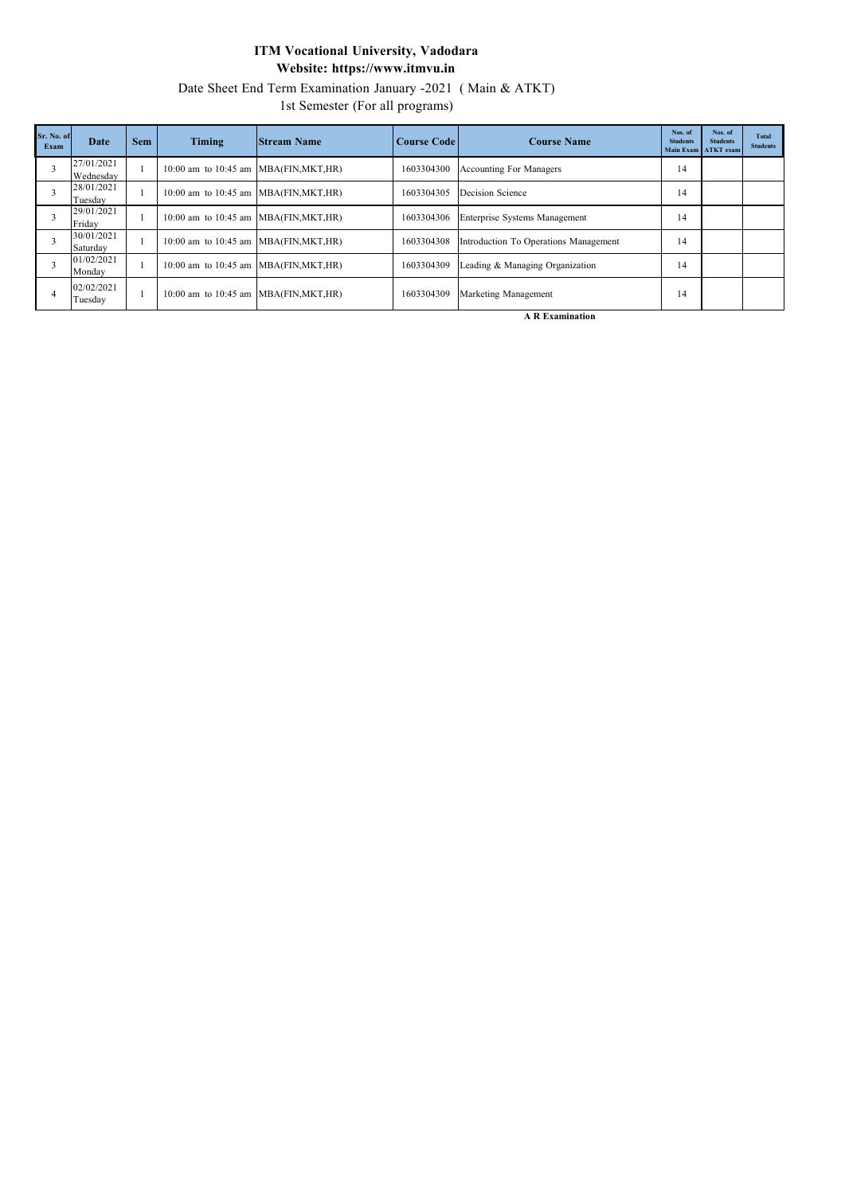Date Sheet End Term Examination January -2021 ( Main & ATKT)

1st Semester (For all programs)

| Sr. No. of<br>Exam | Date                    | <b>Sem</b> | Timing                                     | <b>Stream Name</b> | Course Code | <b>Course Name</b>                    | Nos. of<br><b>Students</b> | Nos. of<br><b>Students</b><br>Main Exam ATKT exam | <b>Total</b><br><b>Students</b> |
|--------------------|-------------------------|------------|--------------------------------------------|--------------------|-------------|---------------------------------------|----------------------------|---------------------------------------------------|---------------------------------|
|                    | 27/01/2021<br>Wednesday |            | 10:00 am to 10:45 am MBA(FIN, MKT, HR)     |                    | 1603304300  | <b>Accounting For Managers</b>        | 14                         |                                                   |                                 |
|                    | 28/01/2021<br>Tuesday   |            | 10:00 am to 10:45 am MBA(FIN, MKT, HR)     |                    | 1603304305  | Decision Science                      | 14                         |                                                   |                                 |
|                    | 29/01/2021<br>Friday    |            | 10:00 am to 10:45 am MBA(FIN, MKT, HR)     |                    | 1603304306  | Enterprise Systems Management         | 14                         |                                                   |                                 |
|                    | 30/01/2021<br>Saturday  |            | 10:00 am to 10:45 am MBA(FIN, MKT, HR)     |                    | 1603304308  | Introduction To Operations Management | 14                         |                                                   |                                 |
|                    | 01/02/2021<br>Monday    |            | $10:00$ am to $10:45$ am MBA(FIN, MKT, HR) |                    | 1603304309  | Leading & Managing Organization       | 14                         |                                                   |                                 |
|                    | 02/02/2021<br>Tuesday   |            | 10:00 am to 10:45 am MBA(FIN, MKT, HR)     |                    | 1603304309  | Marketing Management                  | 14                         |                                                   |                                 |

**A R Examination**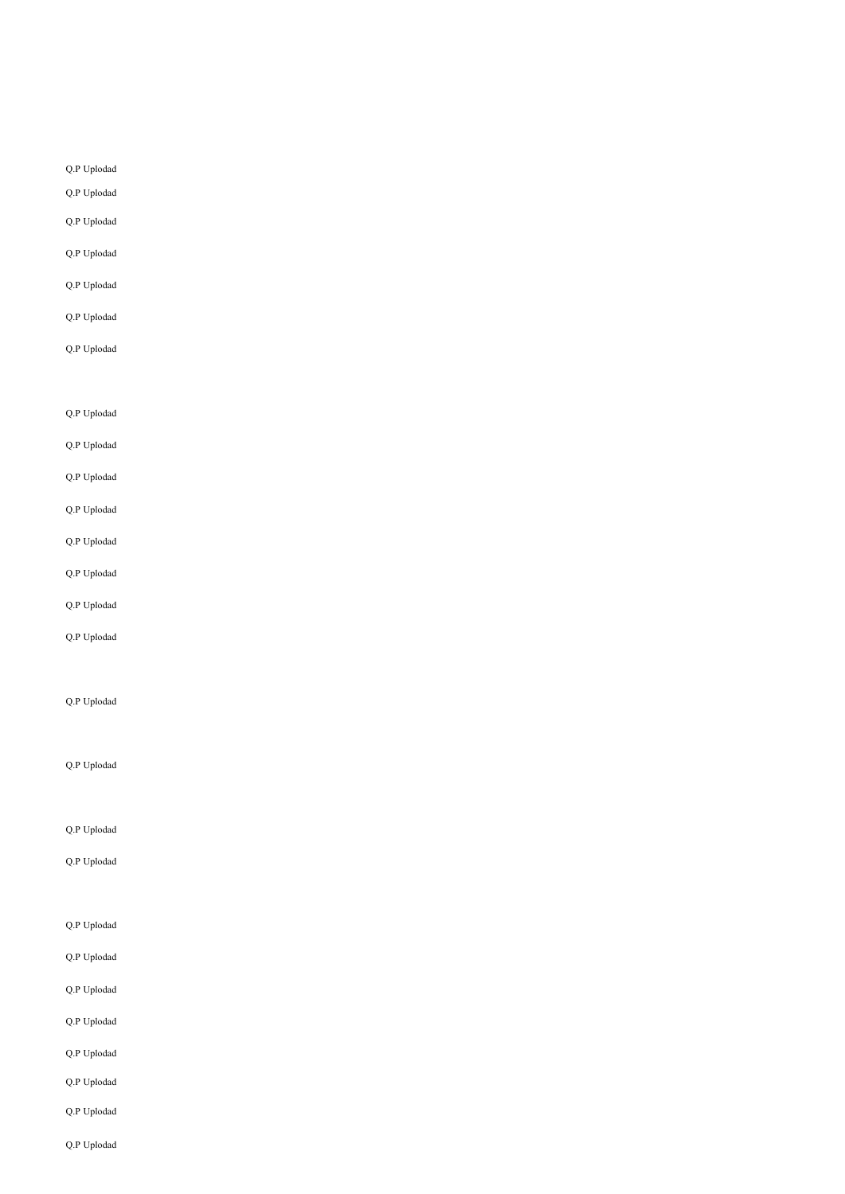### Q.P Uplodad

Q.P Uplodad

- Q.P Uplodad
- Q.P Uplodad
- 
- Q.P Uplodad
- 

Q.P Uplodad

Q.P Uplodad

Q.P Uplodad

Q.P Uplodad

Q.P Uplodad

# Q.P Uplodad

# Q.P Uplodad

Q.P Uplodad

# Q.P Uplodad

- Q.P Uplodad
- 

# Q.P Uplodad

# Q.P Uplodad

### Q.P Uplodad

### Q.P Uplodad

Q.P Uplodad

# Q.P Uplodad

Q.P Uplodad

# Q.P Uplodad

Q.P Uplodad

- Q.P Uplodad
- Q.P Uplodad
- Q.P Uplodad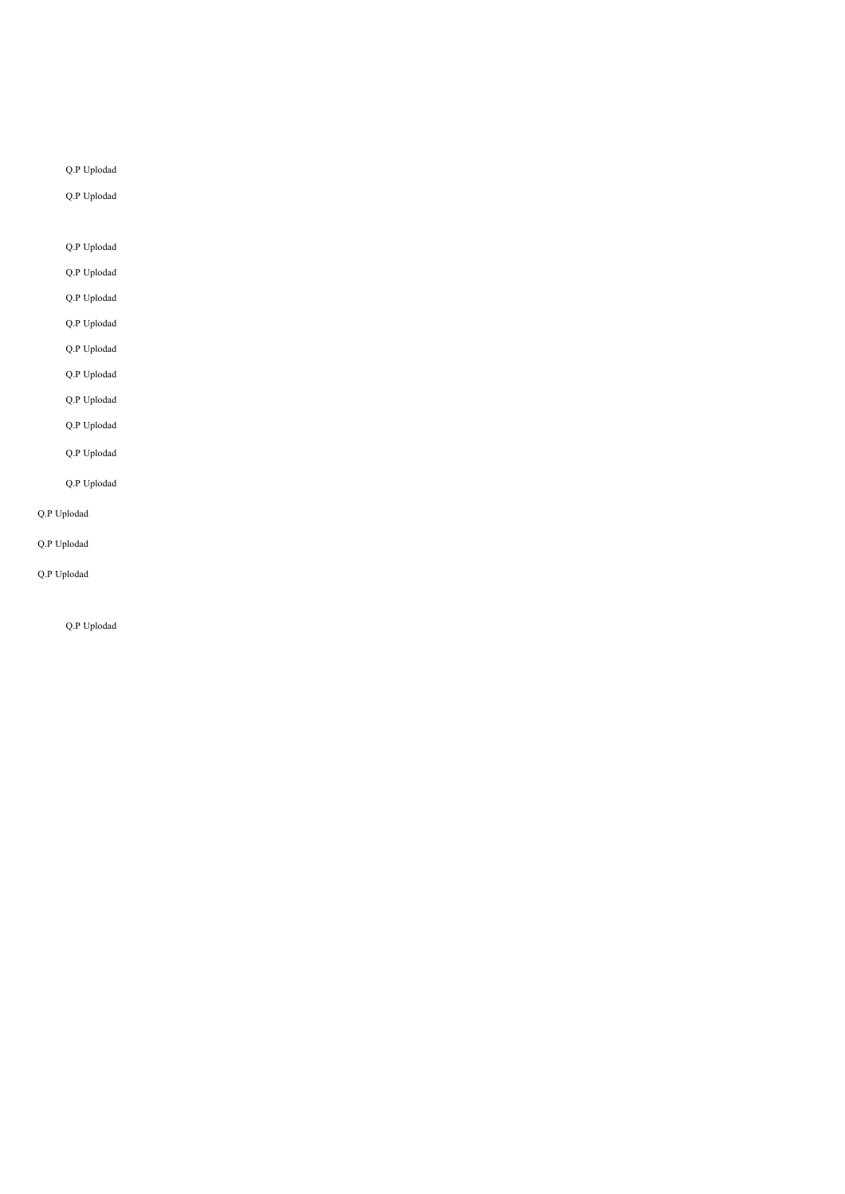Q.P Uplodad

Q.P Uplodad

Q.P Uplodad

Q.P Uplodad

Q.P Uplodad

Q.P Uplodad

Q.P Uplodad Q.P Uplodad

Q.P Uplodad Q.P Uplodad Q.P Uplodad Q.P Uplodad Q.P Uplodad Q.P Uplodad Q.P Uplodad Q.P Uplodad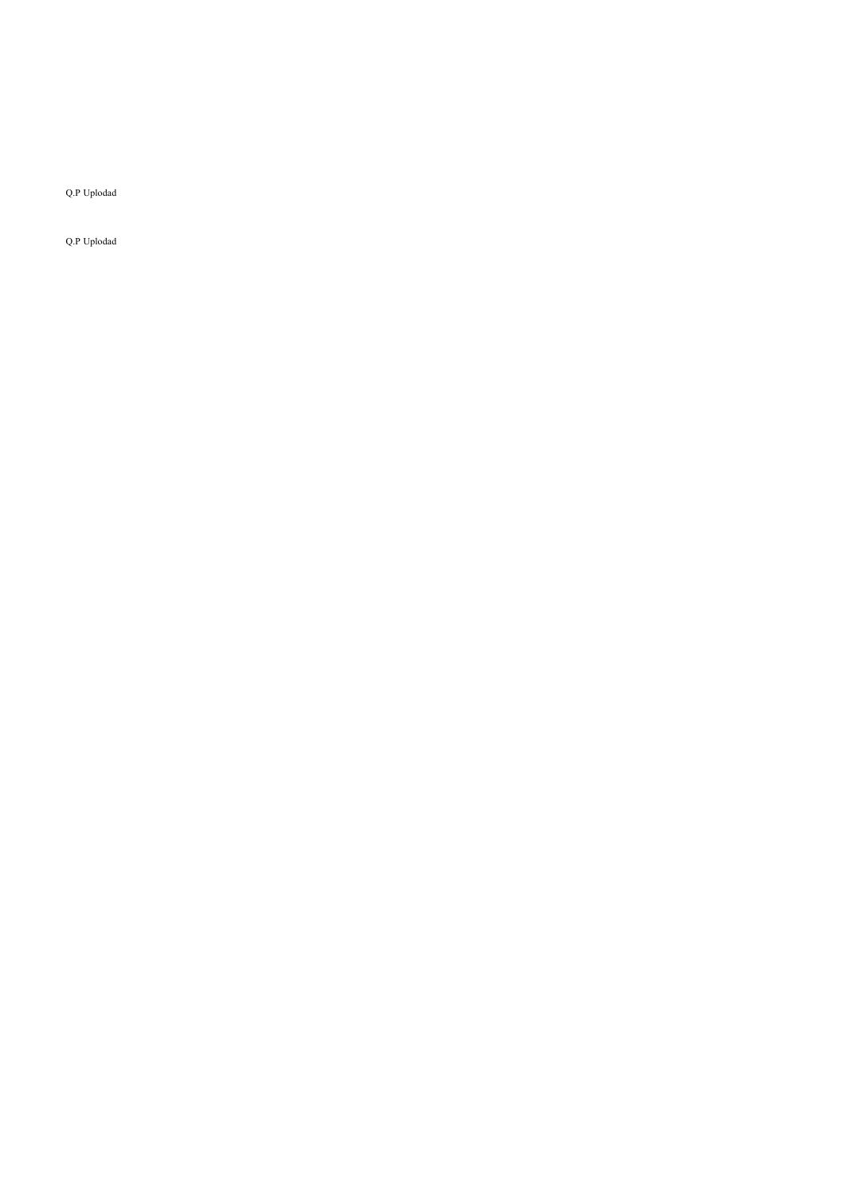Q.P Uplodad

Q.P Uplodad